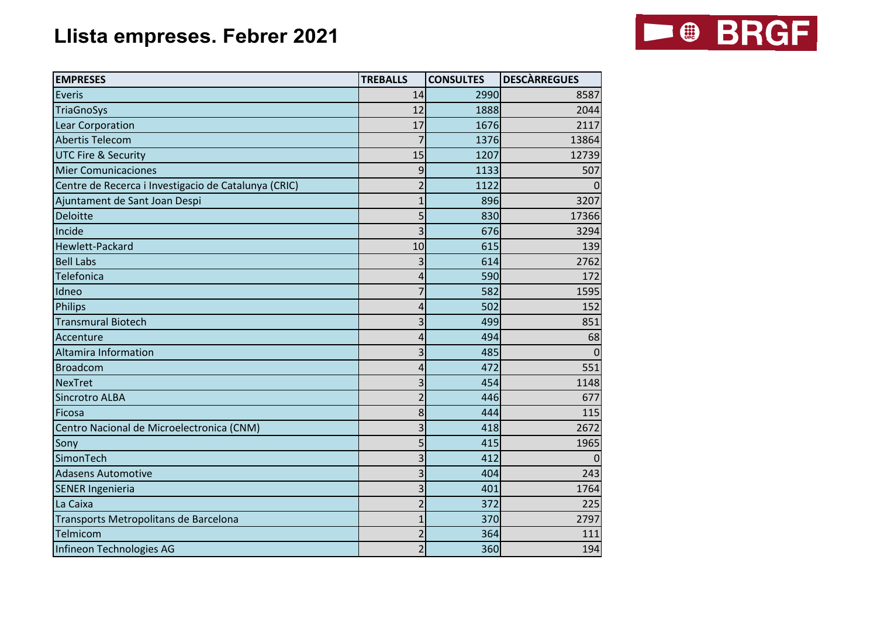## **Llista empreses. Febrer 2021**



| <b>EMPRESES</b>                                      | <b>TREBALLS</b> | <b>CONSULTES</b> | <b>DESCÀRREGUES</b> |
|------------------------------------------------------|-----------------|------------------|---------------------|
| Everis                                               | 14              | 2990             | 8587                |
| <b>TriaGnoSys</b>                                    | 12              | 1888             | 2044                |
| Lear Corporation                                     | 17              | 1676             | 2117                |
| <b>Abertis Telecom</b>                               | 7               | 1376             | 13864               |
| <b>UTC Fire &amp; Security</b>                       | 15              | 1207             | 12739               |
| <b>Mier Comunicaciones</b>                           | 9               | 1133             | 507                 |
| Centre de Recerca i Investigacio de Catalunya (CRIC) | $\overline{2}$  | 1122             |                     |
| Ajuntament de Sant Joan Despi                        |                 | 896              | 3207                |
| Deloitte                                             | 5               | 830              | 17366               |
| Incide                                               | 3               | 676              | 3294                |
| Hewlett-Packard                                      | 10              | 615              | 139                 |
| <b>Bell Labs</b>                                     | 3               | 614              | 2762                |
| Telefonica                                           | $\overline{4}$  | 590              | 172                 |
| Idneo                                                |                 | 582              | 1595                |
| Philips                                              | 4               | 502              | 152                 |
| <b>Transmural Biotech</b>                            | 3               | 499              | 851                 |
| Accenture                                            | 4               | 494              | 68                  |
| <b>Altamira Information</b>                          | 3               | 485              | ∩                   |
| <b>Broadcom</b>                                      | $\Delta$        | 472              | 551                 |
| <b>NexTret</b>                                       | 3               | 454              | 1148                |
| Sincrotro ALBA                                       | $\overline{a}$  | 446              | 677                 |
| Ficosa                                               | 8               | 444              | 115                 |
| Centro Nacional de Microelectronica (CNM)            | 3               | 418              | 2672                |
| Sony                                                 | 5               | 415              | 1965                |
| SimonTech                                            | 3               | 412              |                     |
| <b>Adasens Automotive</b>                            | 3               | 404              | 243                 |
| <b>SENER Ingenieria</b>                              | 3               | 401              | 1764                |
| La Caixa                                             | $\overline{2}$  | 372              | 225                 |
| Transports Metropolitans de Barcelona                | $\mathbf{1}$    | 370              | 2797                |
| Telmicom                                             | $\overline{2}$  | 364              | 111                 |
| Infineon Technologies AG                             | $\overline{2}$  | 360              | 194                 |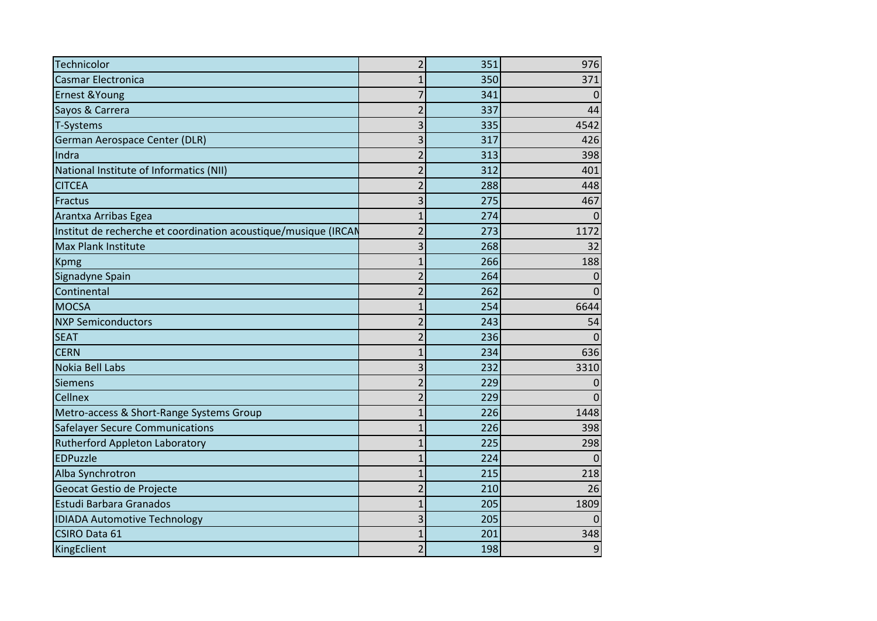| Technicolor                                                     | $\overline{2}$          | 351 | 976          |
|-----------------------------------------------------------------|-------------------------|-----|--------------|
| <b>Casmar Electronica</b>                                       | 1                       | 350 | 371          |
| Ernest & Young                                                  | 7                       | 341 | 0            |
| Sayos & Carrera                                                 | $\overline{2}$          | 337 | 44           |
| T-Systems                                                       | 3                       | 335 | 4542         |
| German Aerospace Center (DLR)                                   | 3                       | 317 | 426          |
| Indra                                                           | $\overline{2}$          | 313 | 398          |
| National Institute of Informatics (NII)                         | $\overline{2}$          | 312 | 401          |
| <b>CITCEA</b>                                                   | $\overline{2}$          | 288 | 448          |
| Fractus                                                         | 3                       | 275 | 467          |
| Arantxa Arribas Egea                                            | 1                       | 274 | $\Omega$     |
| Institut de recherche et coordination acoustique/musique (IRCAN | $\overline{2}$          | 273 | 1172         |
| Max Plank Institute                                             | $\overline{\mathbf{3}}$ | 268 | 32           |
| <b>Kpmg</b>                                                     | $\overline{1}$          | 266 | 188          |
| Signadyne Spain                                                 | $\overline{2}$          | 264 | 0            |
| Continental                                                     | $\overline{2}$          | 262 | $\Omega$     |
| <b>MOCSA</b>                                                    | $\mathbf{1}$            | 254 | 6644         |
| <b>NXP Semiconductors</b>                                       | $\overline{2}$          | 243 | 54           |
| <b>SEAT</b>                                                     | $\overline{2}$          | 236 | $\Omega$     |
| <b>CERN</b>                                                     | $\mathbf{1}$            | 234 | 636          |
| Nokia Bell Labs                                                 | 3                       | 232 | 3310         |
| <b>Siemens</b>                                                  | $\overline{2}$          | 229 | $\Omega$     |
| Cellnex                                                         | $\overline{2}$          | 229 | $\mathbf{0}$ |
| Metro-access & Short-Range Systems Group                        | $\overline{1}$          | 226 | 1448         |
| <b>Safelayer Secure Communications</b>                          | $\mathbf{1}$            | 226 | 398          |
| Rutherford Appleton Laboratory                                  | $\mathbf{1}$            | 225 | 298          |
| <b>EDPuzzle</b>                                                 | $\mathbf{1}$            | 224 | $\mathbf 0$  |
| Alba Synchrotron                                                | $\overline{1}$          | 215 | 218          |
| Geocat Gestio de Projecte                                       | $\overline{2}$          | 210 | 26           |
| Estudi Barbara Granados                                         | $\overline{1}$          | 205 | 1809         |
| <b>IDIADA Automotive Technology</b>                             | 3                       | 205 | $\Omega$     |
| CSIRO Data 61                                                   | $\mathbf{1}$            | 201 | 348          |
| KingEclient                                                     | $\overline{2}$          | 198 | 9            |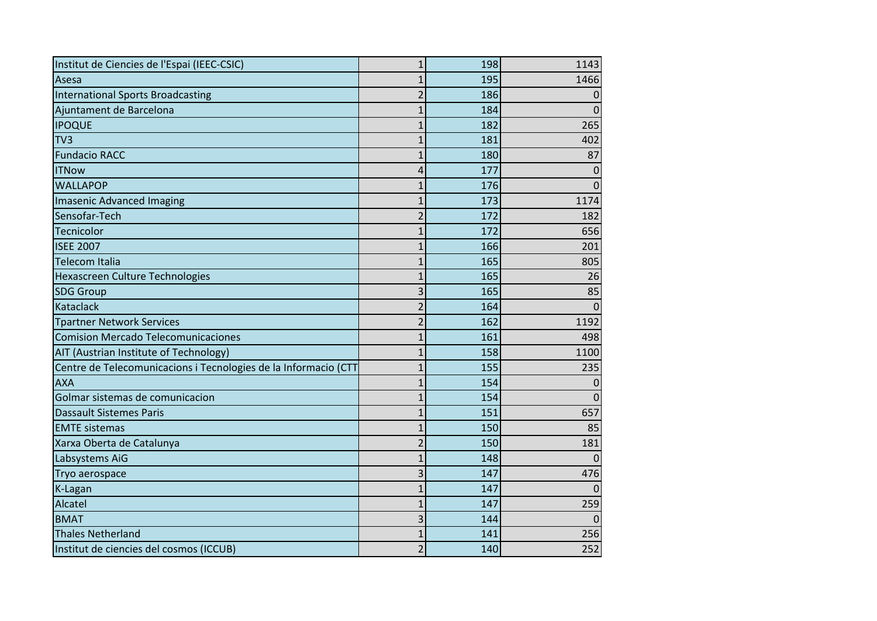| Institut de Ciencies de l'Espai (IEEC-CSIC)                     | $\mathbf{1}$   | 198 | 1143     |  |
|-----------------------------------------------------------------|----------------|-----|----------|--|
| Asesa                                                           | 1              | 195 | 1466     |  |
| <b>International Sports Broadcasting</b>                        | $\overline{2}$ | 186 | 0        |  |
| Ajuntament de Barcelona                                         | $\mathbf{1}$   | 184 | 0        |  |
| <b>IPOQUE</b>                                                   | $\mathbf{1}$   | 182 | 265      |  |
| TV3                                                             | $\mathbf{1}$   | 181 | 402      |  |
| <b>Fundacio RACC</b>                                            | $\mathbf{1}$   | 180 | 87       |  |
| <b>ITNow</b>                                                    | 4              | 177 | $\Omega$ |  |
| <b>WALLAPOP</b>                                                 | $\mathbf{1}$   | 176 | $\Omega$ |  |
| <b>Imasenic Advanced Imaging</b>                                | $\mathbf{1}$   | 173 | 1174     |  |
| Sensofar-Tech                                                   | $\overline{2}$ | 172 | 182      |  |
| Tecnicolor                                                      | $\mathbf{1}$   | 172 | 656      |  |
| <b>ISEE 2007</b>                                                | $\overline{1}$ | 166 | 201      |  |
| <b>Telecom Italia</b>                                           | $\mathbf{1}$   | 165 | 805      |  |
| Hexascreen Culture Technologies                                 | $\mathbf{1}$   | 165 | 26       |  |
| <b>SDG Group</b>                                                | 3              | 165 | 85       |  |
| Kataclack                                                       | $\overline{2}$ | 164 | $\Omega$ |  |
| <b>Tpartner Network Services</b>                                | $\overline{2}$ | 162 | 1192     |  |
| <b>Comision Mercado Telecomunicaciones</b>                      | $\mathbf{1}$   | 161 | 498      |  |
| AIT (Austrian Institute of Technology)                          | 1              | 158 | 1100     |  |
| Centre de Telecomunicacions i Tecnologies de la Informacio (CTT | $\mathbf{1}$   | 155 | 235      |  |
| <b>AXA</b>                                                      | $\mathbf{1}$   | 154 | 0        |  |
| Golmar sistemas de comunicacion                                 | $\mathbf 1$    | 154 | 0        |  |
| <b>Dassault Sistemes Paris</b>                                  | 1              | 151 | 657      |  |
| <b>EMTE</b> sistemas                                            | $\mathbf{1}$   | 150 | 85       |  |
| Xarxa Oberta de Catalunya                                       | $\overline{2}$ | 150 | 181      |  |
| Labsystems AiG                                                  | $\mathbf{1}$   | 148 | 0        |  |
| Tryo aerospace                                                  | 3              | 147 | 476      |  |
| K-Lagan                                                         | $\mathbf{1}$   | 147 | $\Omega$ |  |
| Alcatel                                                         | $\mathbf{1}$   | 147 | 259      |  |
| <b>BMAT</b>                                                     | $\overline{3}$ | 144 | O        |  |
| <b>Thales Netherland</b>                                        | $\mathbf{1}$   | 141 | 256      |  |
| Institut de ciencies del cosmos (ICCUB)                         | $\overline{2}$ | 140 | 252      |  |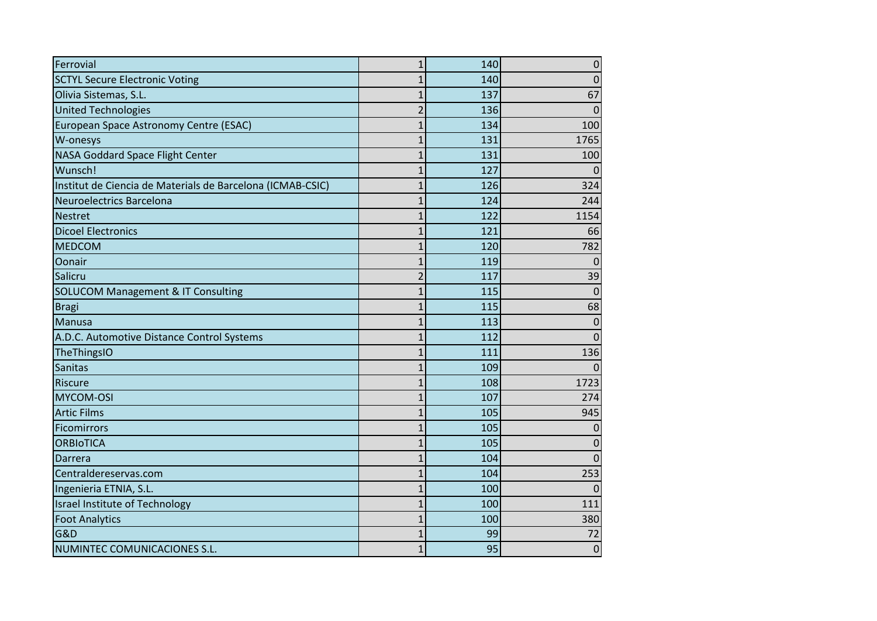| Ferrovial                                                  | 1              | 140 | $\mathbf 0$    |
|------------------------------------------------------------|----------------|-----|----------------|
| <b>SCTYL Secure Electronic Voting</b>                      | $\mathbf{1}$   | 140 | 0              |
| Olivia Sistemas, S.L.                                      | $\mathbf{1}$   | 137 | 67             |
| <b>United Technologies</b>                                 | $\overline{2}$ | 136 | 0              |
| European Space Astronomy Centre (ESAC)                     | $\mathbf{1}$   | 134 | 100            |
| W-onesys                                                   | $\overline{1}$ | 131 | 1765           |
| NASA Goddard Space Flight Center                           | $\mathbf{1}$   | 131 | 100            |
| Wunsch!                                                    | $\overline{1}$ | 127 |                |
| Institut de Ciencia de Materials de Barcelona (ICMAB-CSIC) | $\mathbf 1$    | 126 | 324            |
| Neuroelectrics Barcelona                                   | $\mathbf{1}$   | 124 | 244            |
| <b>Nestret</b>                                             | $\mathbf{1}$   | 122 | 1154           |
| <b>Dicoel Electronics</b>                                  | $\overline{1}$ | 121 | 66             |
| <b>MEDCOM</b>                                              | $\overline{1}$ | 120 | 782            |
| Oonair                                                     | $\mathbf{1}$   | 119 | $\Omega$       |
| Salicru                                                    | $\overline{2}$ | 117 | 39             |
| <b>SOLUCOM Management &amp; IT Consulting</b>              | $\mathbf{1}$   | 115 | $\overline{0}$ |
| <b>Bragi</b>                                               | $\mathbf{1}$   | 115 | 68             |
| Manusa                                                     | $\mathbf{1}$   | 113 | 0              |
| A.D.C. Automotive Distance Control Systems                 | $\overline{1}$ | 112 | $\overline{0}$ |
| TheThingsIO                                                | $\mathbf{1}$   | 111 | 136            |
| Sanitas                                                    | $\overline{1}$ | 109 | 0              |
| <b>Riscure</b>                                             | $\mathbf{1}$   | 108 | 1723           |
| MYCOM-OSI                                                  | $\overline{1}$ | 107 | 274            |
| <b>Artic Films</b>                                         | $\mathbf{1}$   | 105 | 945            |
| Ficomirrors                                                | $\mathbf{1}$   | 105 | 0              |
| <b>ORBIOTICA</b>                                           | $\overline{1}$ | 105 | 0              |
| Darrera                                                    | $\mathbf{1}$   | 104 | $\overline{0}$ |
| Centraldereservas.com                                      | $\mathbf{1}$   | 104 | 253            |
| Ingenieria ETNIA, S.L.                                     | $\overline{1}$ | 100 | $\Omega$       |
| Israel Institute of Technology                             | $\overline{1}$ | 100 | 111            |
| <b>Foot Analytics</b>                                      | $\mathbf 1$    | 100 | 380            |
| <b>G&amp;D</b>                                             | $\mathbf{1}$   | 99  | 72             |
| NUMINTEC COMUNICACIONES S.L.                               | $\mathbf{1}$   | 95  | $\mathbf 0$    |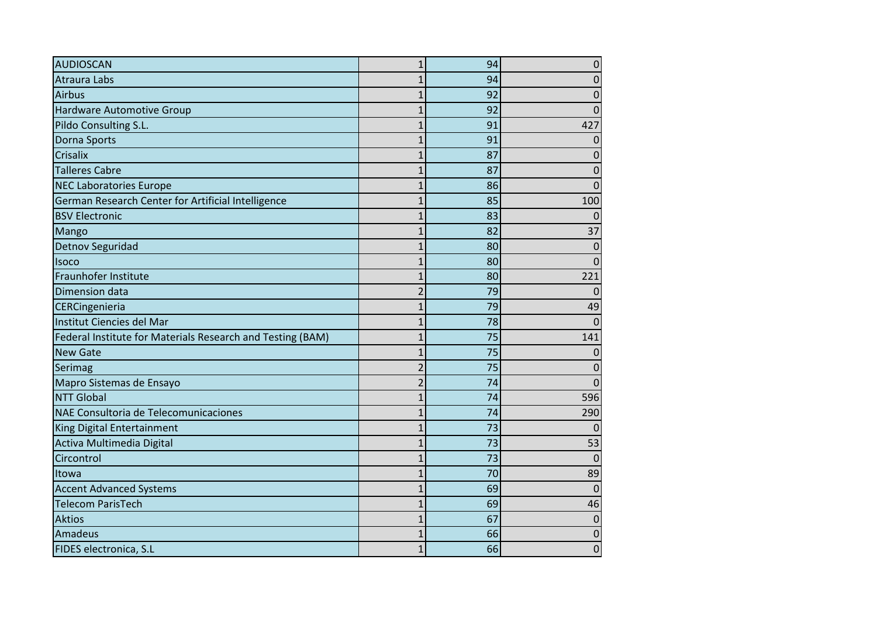| <b>AUDIOSCAN</b>                                           | 1              | 94 | 0           |
|------------------------------------------------------------|----------------|----|-------------|
| <b>Atraura Labs</b>                                        | $\mathbf{1}$   | 94 | 0           |
| <b>Airbus</b>                                              | $\mathbf{1}$   | 92 | 0           |
| <b>Hardware Automotive Group</b>                           | $\mathbf 1$    | 92 | $\Omega$    |
| Pildo Consulting S.L.                                      | $\mathbf{1}$   | 91 | 427         |
| Dorna Sports                                               | $\overline{1}$ | 91 | $\Omega$    |
| <b>Crisalix</b>                                            | 1              | 87 | 0           |
| <b>Talleres Cabre</b>                                      | 1              | 87 | 0           |
| <b>NEC Laboratories Europe</b>                             | $\overline{1}$ | 86 | $\Omega$    |
| German Research Center for Artificial Intelligence         | $\mathbf{1}$   | 85 | 100         |
| <b>BSV Electronic</b>                                      | $\overline{1}$ | 83 | $\Omega$    |
| Mango                                                      | 1              | 82 | 37          |
| <b>Detnov Seguridad</b>                                    | $\overline{1}$ | 80 | 0           |
| <b>Isoco</b>                                               | 1              | 80 | $\Omega$    |
| Fraunhofer Institute                                       | $\overline{1}$ | 80 | 221         |
| Dimension data                                             | $\overline{2}$ | 79 | $\Omega$    |
| CERCingenieria                                             | $\overline{1}$ | 79 | 49          |
| Institut Ciencies del Mar                                  | $\overline{1}$ | 78 | $\Omega$    |
| Federal Institute for Materials Research and Testing (BAM) | $\overline{1}$ | 75 | 141         |
| <b>New Gate</b>                                            | $\overline{1}$ | 75 | $\Omega$    |
| Serimag                                                    | $\overline{2}$ | 75 | 0           |
| Mapro Sistemas de Ensayo                                   | $\overline{2}$ | 74 | $\Omega$    |
| <b>NTT Global</b>                                          | $\overline{1}$ | 74 | 596         |
| NAE Consultoria de Telecomunicaciones                      | $\overline{1}$ | 74 | 290         |
| King Digital Entertainment                                 | 1              | 73 | $\Omega$    |
| Activa Multimedia Digital                                  | $\overline{1}$ | 73 | 53          |
| Circontrol                                                 | 1              | 73 | $\Omega$    |
| Itowa                                                      | $\overline{1}$ | 70 | 89          |
| <b>Accent Advanced Systems</b>                             | $\overline{1}$ | 69 | $\Omega$    |
| <b>Telecom ParisTech</b>                                   | $\overline{1}$ | 69 | 46          |
| <b>Aktios</b>                                              | $\mathbf 1$    | 67 | $\Omega$    |
| Amadeus                                                    | 1              | 66 | 0           |
| FIDES electronica, S.L                                     | $\mathbf 1$    | 66 | $\mathbf 0$ |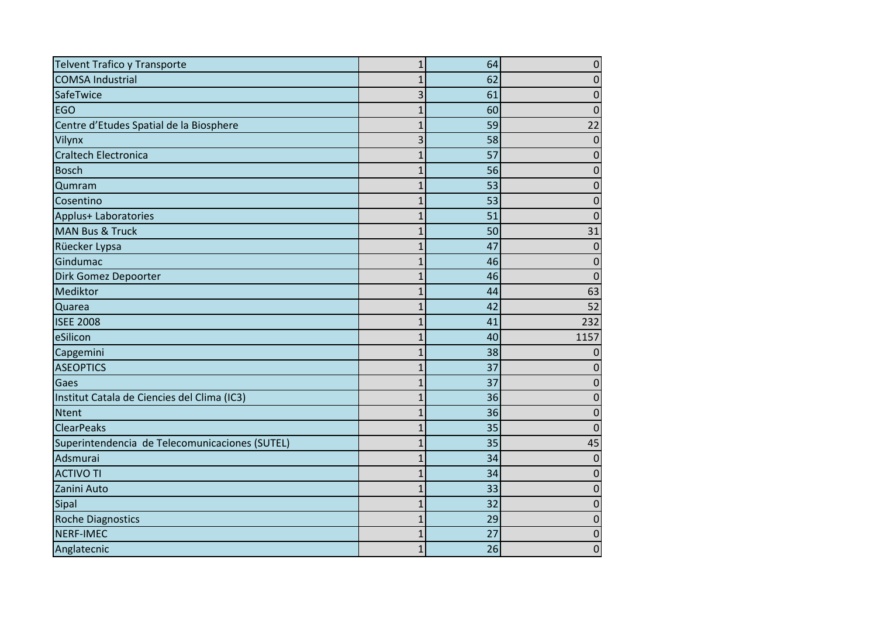| Telvent Trafico y Transporte                   | $\mathbf{1}$   | 64 | $\mathbf 0$ |
|------------------------------------------------|----------------|----|-------------|
| <b>COMSA Industrial</b>                        | 1              | 62 | 0           |
| SafeTwice                                      | 3              | 61 | 0           |
| <b>EGO</b>                                     | 1              | 60 | 0           |
| Centre d'Etudes Spatial de la Biosphere        | $\mathbf{1}$   | 59 | 22          |
| Vilynx                                         | 3              | 58 | $\Omega$    |
| <b>Craltech Electronica</b>                    | $\overline{1}$ | 57 | 0           |
| <b>Bosch</b>                                   | $\mathbf 1$    | 56 | $\mathbf 0$ |
| Qumram                                         | $\overline{1}$ | 53 | 0           |
| Cosentino                                      | 1              | 53 | 0           |
| Applus+ Laboratories                           | 1              | 51 | 0           |
| <b>MAN Bus &amp; Truck</b>                     | 1              | 50 | 31          |
| Rüecker Lypsa                                  | $\overline{1}$ | 47 | 0           |
| Gindumac                                       | 1              | 46 | $\Omega$    |
| Dirk Gomez Depoorter                           | $\overline{1}$ | 46 | $\mathbf 0$ |
| Mediktor                                       | 1              | 44 | 63          |
| Quarea                                         | $\overline{1}$ | 42 | 52          |
| <b>ISEE 2008</b>                               | $\overline{1}$ | 41 | 232         |
| eSilicon                                       | $\overline{1}$ | 40 | 1157        |
| Capgemini                                      | $\overline{1}$ | 38 | 0           |
| <b>ASEOPTICS</b>                               | $\overline{1}$ | 37 | 0           |
| Gaes                                           | $\overline{1}$ | 37 | 0           |
| Institut Catala de Ciencies del Clima (IC3)    | $\overline{1}$ | 36 | 0           |
| <b>Ntent</b>                                   | 1              | 36 | $\Omega$    |
| <b>ClearPeaks</b>                              | 1              | 35 | 0           |
| Superintendencia de Telecomunicaciones (SUTEL) | $\overline{1}$ | 35 | 45          |
| Adsmurai                                       | 1              | 34 | 0           |
| <b>ACTIVO TI</b>                               | 1              | 34 | O           |
| Zanini Auto                                    | $\overline{1}$ | 33 | $\Omega$    |
| Sipal                                          | $\overline{1}$ | 32 | 0           |
| <b>Roche Diagnostics</b>                       | 1              | 29 | 0           |
| NERF-IMEC                                      | 1              | 27 | 0           |
| Anglatecnic                                    | $\mathbf{1}$   | 26 | $\mathbf 0$ |